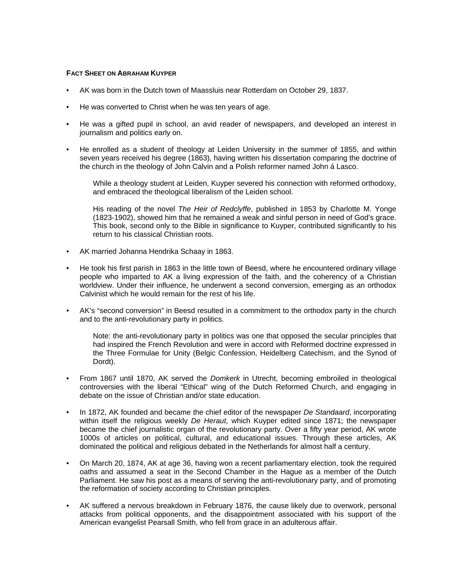## **FACT SHEET ON ABRAHAM KUYPER**

- AK was born in the Dutch town of Maassluis near Rotterdam on October 29, 1837.
- He was converted to Christ when he was ten years of age.
- He was a gifted pupil in school, an avid reader of newspapers, and developed an interest in journalism and politics early on.
- He enrolled as a student of theology at Leiden University in the summer of 1855, and within seven years received his degree (1863), having written his dissertation comparing the doctrine of the church in the theology of John Calvin and a Polish reformer named John á Lasco.

While a theology student at Leiden, Kuyper severed his connection with reformed orthodoxy, and embraced the theological liberalism of the Leiden school.

His reading of the novel *The Heir of Redclyffe*, published in 1853 by Charlotte M. Yonge (1823-1902), showed him that he remained a weak and sinful person in need of God's grace. This book, second only to the Bible in significance to Kuyper, contributed significantly to his return to his classical Christian roots.

- AK married Johanna Hendrika Schaay in 1863.
- He took his first parish in 1863 in the little town of Beesd, where he encountered ordinary village people who imparted to AK a living expression of the faith, and the coherency of a Christian worldview. Under their influence, he underwent a second conversion, emerging as an orthodox Calvinist which he would remain for the rest of his life.
- AK's "second conversion" in Beesd resulted in a commitment to the orthodox party in the church and to the anti-revolutionary party in politics.

 Note: the anti-revolutionary party in politics was one that opposed the secular principles that had inspired the French Revolution and were in accord with Reformed doctrine expressed in the Three Formulae for Unity (Belgic Confession, Heidelberg Catechism, and the Synod of Dordt).

- From 1867 until 1870, AK served the *Domkerk* in Utrecht, becoming embroiled in theological controversies with the liberal "Ethical" wing of the Dutch Reformed Church, and engaging in debate on the issue of Christian and/or state education.
- In 1872, AK founded and became the chief editor of the newspaper *De Standaard*, incorporating within itself the religious weekly *De Heraut*, which Kuyper edited since 1871; the newspaper became the chief journalistic organ of the revolutionary party. Over a fifty year period, AK wrote 1000s of articles on political, cultural, and educational issues. Through these articles, AK dominated the political and religious debated in the Netherlands for almost half a century.
- On March 20, 1874, AK at age 36, having won a recent parliamentary election, took the required oaths and assumed a seat in the Second Chamber in the Hague as a member of the Dutch Parliament. He saw his post as a means of serving the anti-revolutionary party, and of promoting the reformation of society according to Christian principles.
- AK suffered a nervous breakdown in February 1876, the cause likely due to overwork, personal attacks from political opponents, and the disappointment associated with his support of the American evangelist Pearsall Smith, who fell from grace in an adulterous affair.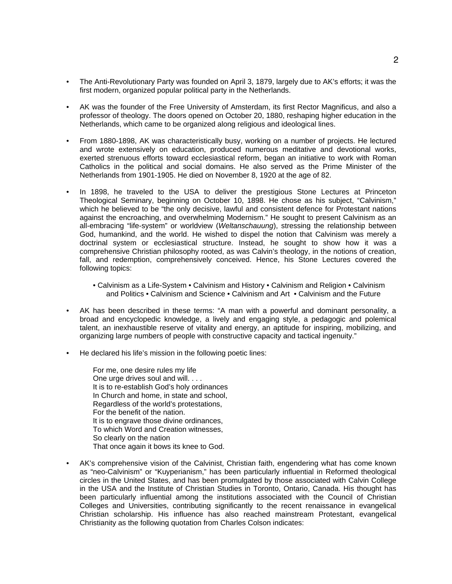- The Anti-Revolutionary Party was founded on April 3, 1879, largely due to AK's efforts; it was the first modern, organized popular political party in the Netherlands.
- AK was the founder of the Free University of Amsterdam, its first Rector Magnificus, and also a professor of theology. The doors opened on October 20, 1880, reshaping higher education in the Netherlands, which came to be organized along religious and ideological lines.
- From 1880-1898, AK was characteristically busy, working on a number of projects. He lectured and wrote extensively on education, produced numerous meditative and devotional works, exerted strenuous efforts toward ecclesiastical reform, began an initiative to work with Roman Catholics in the political and social domains. He also served as the Prime Minister of the Netherlands from 1901-1905. He died on November 8, 1920 at the age of 82.
- In 1898, he traveled to the USA to deliver the prestigious Stone Lectures at Princeton Theological Seminary, beginning on October 10, 1898. He chose as his subject, "Calvinism," which he believed to be "the only decisive, lawful and consistent defence for Protestant nations against the encroaching, and overwhelming Modernism." He sought to present Calvinism as an all-embracing "life-system" or worldview (*Weltanschauung*), stressing the relationship between God, humankind, and the world. He wished to dispel the notion that Calvinism was merely a doctrinal system or ecclesiastical structure. Instead, he sought to show how it was a comprehensive Christian philosophy rooted, as was Calvin's theology, in the notions of creation, fall, and redemption, comprehensively conceived. Hence, his Stone Lectures covered the following topics:
	- Calvinism as a Life-System Calvinism and History Calvinism and Religion Calvinism and Politics • Calvinism and Science • Calvinism and Art • Calvinism and the Future
- AK has been described in these terms: "A man with a powerful and dominant personality, a broad and encyclopedic knowledge, a lively and engaging style, a pedagogic and polemical talent, an inexhaustible reserve of vitality and energy, an aptitude for inspiring, mobilizing, and organizing large numbers of people with constructive capacity and tactical ingenuity."
- He declared his life's mission in the following poetic lines:
	- For me, one desire rules my life One urge drives soul and will. . . . It is to re-establish God's holy ordinances In Church and home, in state and school, Regardless of the world's protestations, For the benefit of the nation. It is to engrave those divine ordinances, To which Word and Creation witnesses, So clearly on the nation That once again it bows its knee to God.
- AK's comprehensive vision of the Calvinist, Christian faith, engendering what has come known as "neo-Calvinism" or "Kuyperianism," has been particularly influential in Reformed theological circles in the United States, and has been promulgated by those associated with Calvin College in the USA and the Institute of Christian Studies in Toronto, Ontario, Canada. His thought has been particularly influential among the institutions associated with the Council of Christian Colleges and Universities, contributing significantly to the recent renaissance in evangelical Christian scholarship. His influence has also reached mainstream Protestant, evangelical Christianity as the following quotation from Charles Colson indicates: